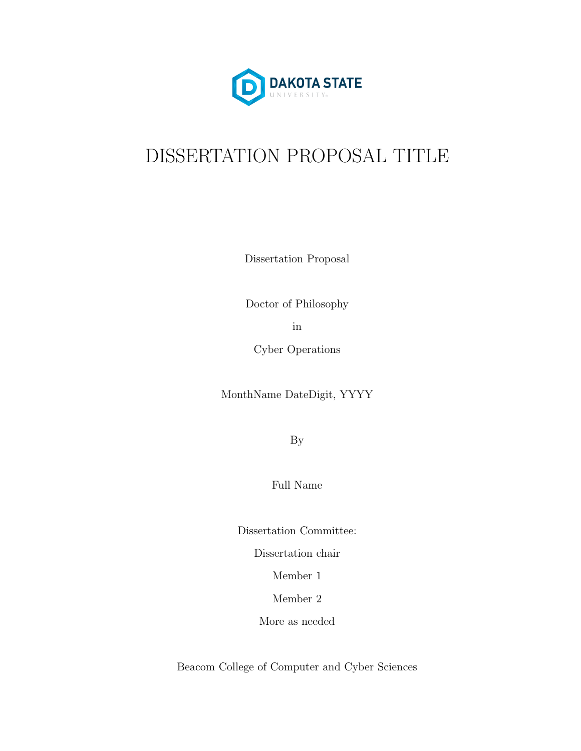

# DISSERTATION PROPOSAL TITLE

Dissertation Proposal

Doctor of Philosophy

in

Cyber Operations

MonthName DateDigit, YYYY

By

Full Name

Dissertation Committee:

Dissertation chair

Member 1

Member 2

More as needed

Beacom College of Computer and Cyber Sciences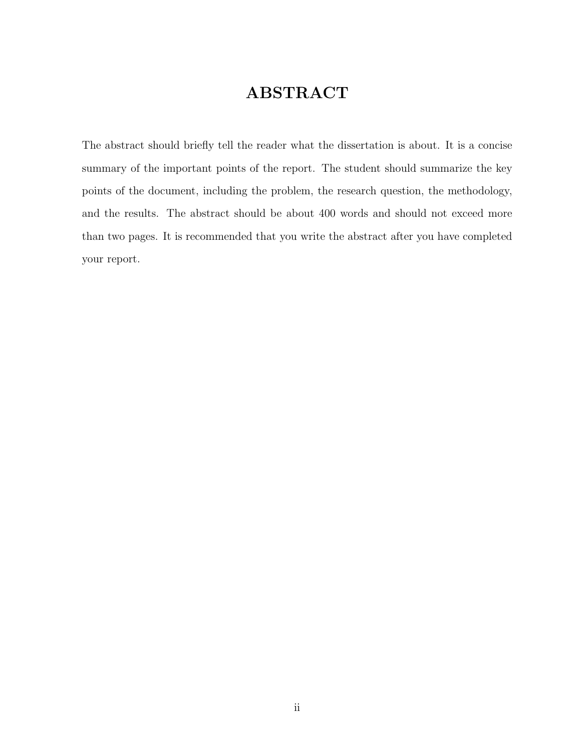#### ABSTRACT

<span id="page-1-0"></span>The abstract should briefly tell the reader what the dissertation is about. It is a concise summary of the important points of the report. The student should summarize the key points of the document, including the problem, the research question, the methodology, and the results. The abstract should be about 400 words and should not exceed more than two pages. It is recommended that you write the abstract after you have completed your report.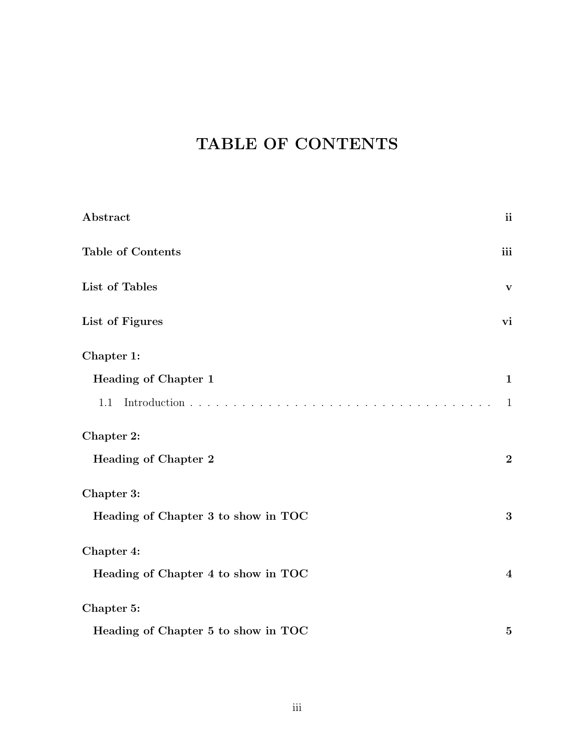#### TABLE OF CONTENTS

| Abstract                            | ii                      |
|-------------------------------------|-------------------------|
| <b>Table of Contents</b>            | iii                     |
| List of Tables                      | $\mathbf{V}$            |
| List of Figures                     | vi                      |
| Chapter 1:                          |                         |
| <b>Heading of Chapter 1</b>         | $\mathbf{1}$            |
| 1.1                                 | $\mathbf{1}$            |
| Chapter 2:                          |                         |
| <b>Heading of Chapter 2</b>         | $\boldsymbol{2}$        |
| Chapter 3:                          |                         |
| Heading of Chapter 3 to show in TOC | $\bf{3}$                |
| Chapter 4:                          |                         |
| Heading of Chapter 4 to show in TOC | $\overline{\mathbf{4}}$ |
| Chapter 5:                          |                         |
| Heading of Chapter 5 to show in TOC | $\mathbf{5}$            |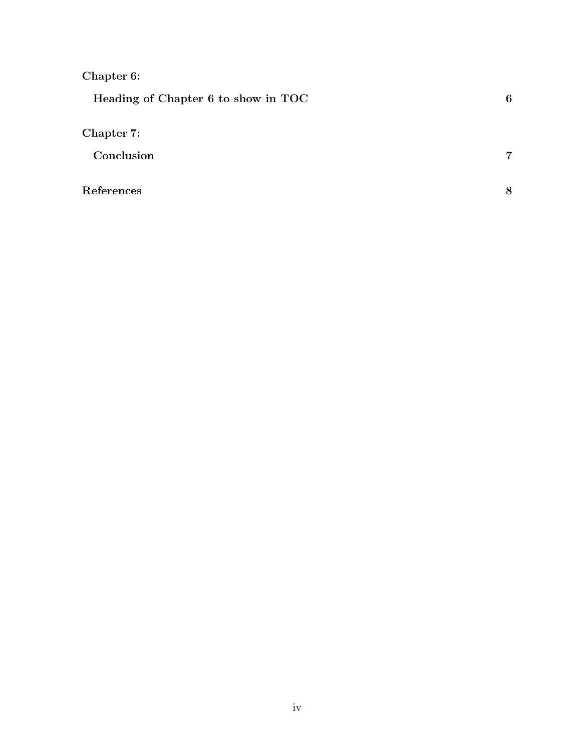#### [Chapter 6:](#page-11-0)

| Heading of Chapter 6 to show in TOC | 6 |
|-------------------------------------|---|
| Chapter 7:                          |   |
| Conclusion                          | 7 |
| References                          | 8 |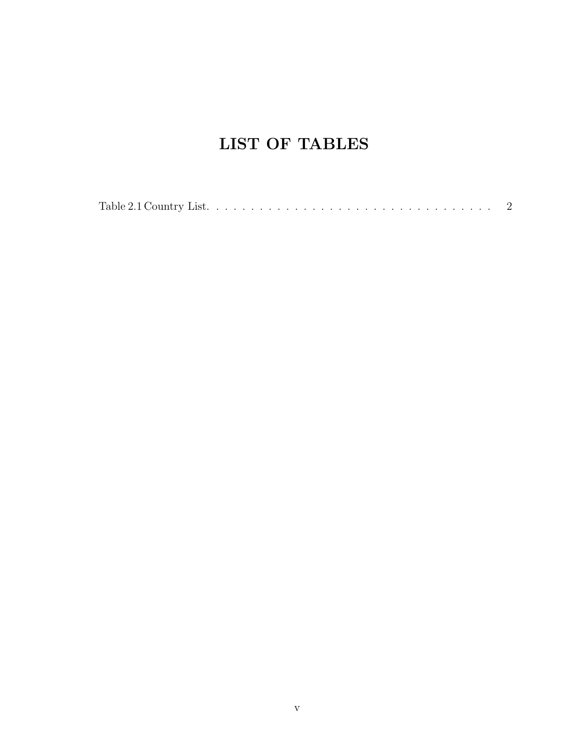#### LIST OF TABLES

|--|--|--|--|--|--|--|--|--|--|--|--|--|--|--|--|--|--|--|--|--|--|--|--|--|--|--|--|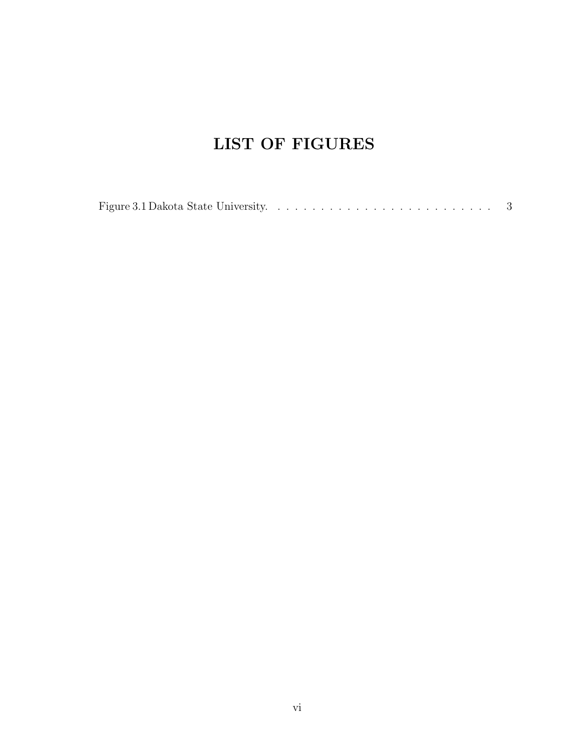#### LIST OF FIGURES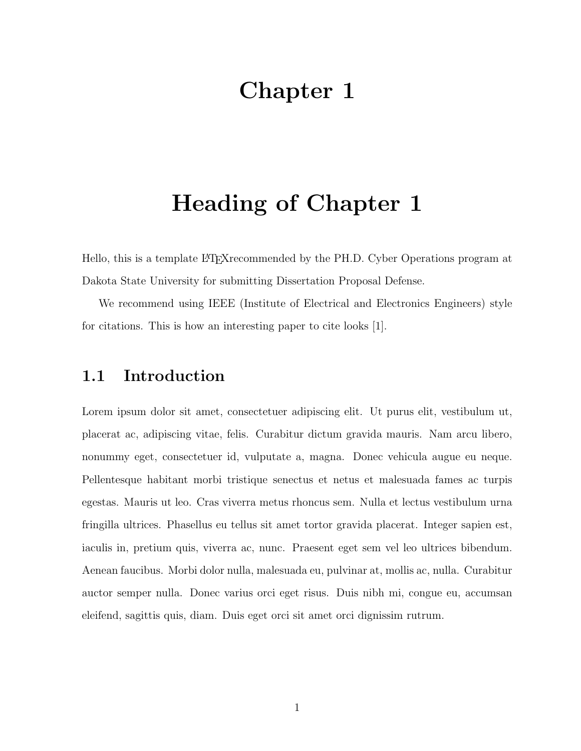### <span id="page-6-0"></span>Heading of Chapter 1

Hello, this is a template LAT<sub>E</sub>Xrecommended by the PH.D. Cyber Operations program at Dakota State University for submitting Dissertation Proposal Defense.

We recommend using IEEE (Institute of Electrical and Electronics Engineers) style for citations. This is how an interesting paper to cite looks [\[1\]](#page-13-0).

#### <span id="page-6-1"></span>1.1 Introduction

Lorem ipsum dolor sit amet, consectetuer adipiscing elit. Ut purus elit, vestibulum ut, placerat ac, adipiscing vitae, felis. Curabitur dictum gravida mauris. Nam arcu libero, nonummy eget, consectetuer id, vulputate a, magna. Donec vehicula augue eu neque. Pellentesque habitant morbi tristique senectus et netus et malesuada fames ac turpis egestas. Mauris ut leo. Cras viverra metus rhoncus sem. Nulla et lectus vestibulum urna fringilla ultrices. Phasellus eu tellus sit amet tortor gravida placerat. Integer sapien est, iaculis in, pretium quis, viverra ac, nunc. Praesent eget sem vel leo ultrices bibendum. Aenean faucibus. Morbi dolor nulla, malesuada eu, pulvinar at, mollis ac, nulla. Curabitur auctor semper nulla. Donec varius orci eget risus. Duis nibh mi, congue eu, accumsan eleifend, sagittis quis, diam. Duis eget orci sit amet orci dignissim rutrum.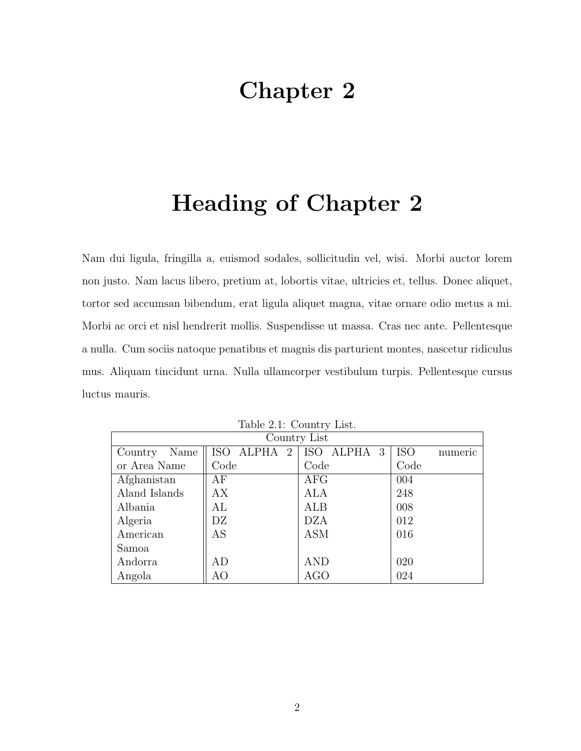# <span id="page-7-0"></span>Heading of Chapter 2

Nam dui ligula, fringilla a, euismod sodales, sollicitudin vel, wisi. Morbi auctor lorem non justo. Nam lacus libero, pretium at, lobortis vitae, ultricies et, tellus. Donec aliquet, tortor sed accumsan bibendum, erat ligula aliquet magna, vitae ornare odio metus a mi. Morbi ac orci et nisl hendrerit mollis. Suspendisse ut massa. Cras nec ante. Pellentesque a nulla. Cum sociis natoque penatibus et magnis dis parturient montes, nascetur ridiculus mus. Aliquam tincidunt urna. Nulla ullamcorper vestibulum turpis. Pellentesque cursus luctus mauris.

| Country List    |             |                        |                       |  |  |  |  |  |  |
|-----------------|-------------|------------------------|-----------------------|--|--|--|--|--|--|
| Name<br>Country | ISO ALPHA 2 | ISO ALPHA <sub>3</sub> | <b>ISO</b><br>numeric |  |  |  |  |  |  |
| or Area Name    | Code        | Code                   | Code                  |  |  |  |  |  |  |
| Afghanistan     | АF          | AFG                    | 004                   |  |  |  |  |  |  |
| Aland Islands   | АX          | ALA                    | 248                   |  |  |  |  |  |  |
| Albania         | AL          | ALB                    | 008                   |  |  |  |  |  |  |
| Algeria         | DZ          | <b>DZA</b>             | 012                   |  |  |  |  |  |  |
| American        | AS          | <b>ASM</b>             | 016                   |  |  |  |  |  |  |
| Samoa           |             |                        |                       |  |  |  |  |  |  |
| Andorra         | AD          | AND                    | 020                   |  |  |  |  |  |  |
| Angola          | AO          | AGO                    | 024                   |  |  |  |  |  |  |

<span id="page-7-1"></span>Table 2.1: Country List.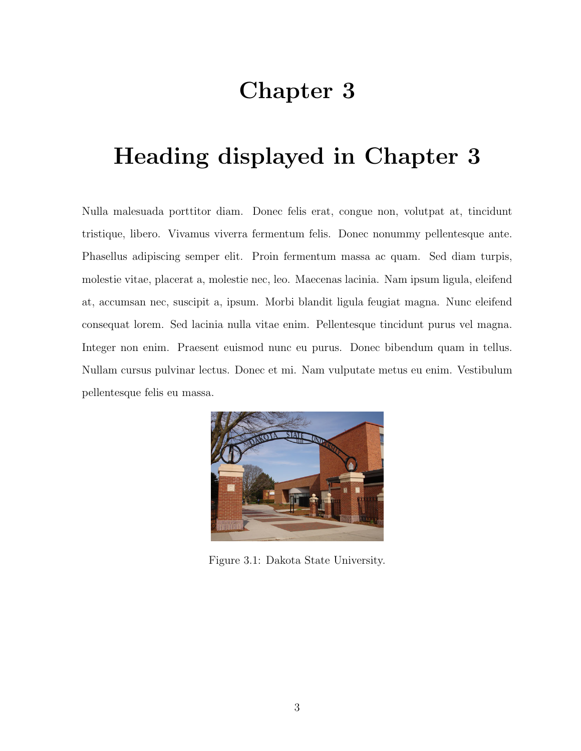# <span id="page-8-0"></span>Heading displayed in Chapter 3

Nulla malesuada porttitor diam. Donec felis erat, congue non, volutpat at, tincidunt tristique, libero. Vivamus viverra fermentum felis. Donec nonummy pellentesque ante. Phasellus adipiscing semper elit. Proin fermentum massa ac quam. Sed diam turpis, molestie vitae, placerat a, molestie nec, leo. Maecenas lacinia. Nam ipsum ligula, eleifend at, accumsan nec, suscipit a, ipsum. Morbi blandit ligula feugiat magna. Nunc eleifend consequat lorem. Sed lacinia nulla vitae enim. Pellentesque tincidunt purus vel magna. Integer non enim. Praesent euismod nunc eu purus. Donec bibendum quam in tellus. Nullam cursus pulvinar lectus. Donec et mi. Nam vulputate metus eu enim. Vestibulum pellentesque felis eu massa.

<span id="page-8-1"></span>

Figure 3.1: Dakota State University.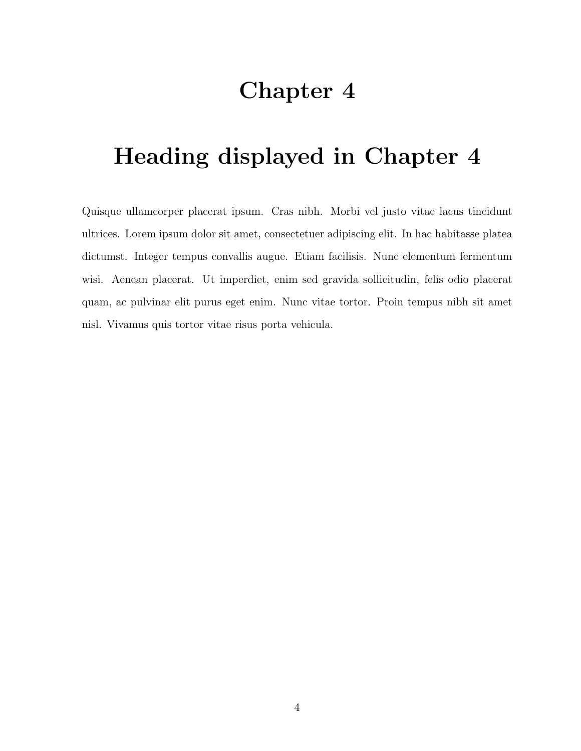# <span id="page-9-0"></span>Heading displayed in Chapter 4

Quisque ullamcorper placerat ipsum. Cras nibh. Morbi vel justo vitae lacus tincidunt ultrices. Lorem ipsum dolor sit amet, consectetuer adipiscing elit. In hac habitasse platea dictumst. Integer tempus convallis augue. Etiam facilisis. Nunc elementum fermentum wisi. Aenean placerat. Ut imperdiet, enim sed gravida sollicitudin, felis odio placerat quam, ac pulvinar elit purus eget enim. Nunc vitae tortor. Proin tempus nibh sit amet nisl. Vivamus quis tortor vitae risus porta vehicula.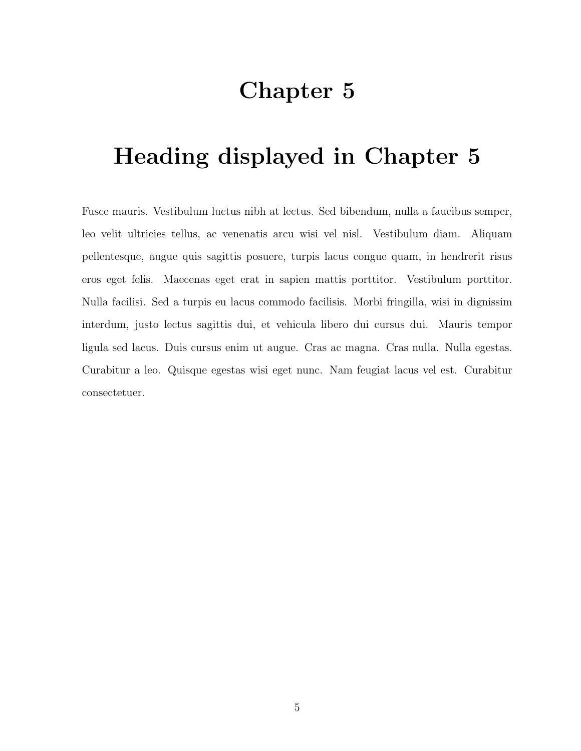# <span id="page-10-0"></span>Heading displayed in Chapter 5

Fusce mauris. Vestibulum luctus nibh at lectus. Sed bibendum, nulla a faucibus semper, leo velit ultricies tellus, ac venenatis arcu wisi vel nisl. Vestibulum diam. Aliquam pellentesque, augue quis sagittis posuere, turpis lacus congue quam, in hendrerit risus eros eget felis. Maecenas eget erat in sapien mattis porttitor. Vestibulum porttitor. Nulla facilisi. Sed a turpis eu lacus commodo facilisis. Morbi fringilla, wisi in dignissim interdum, justo lectus sagittis dui, et vehicula libero dui cursus dui. Mauris tempor ligula sed lacus. Duis cursus enim ut augue. Cras ac magna. Cras nulla. Nulla egestas. Curabitur a leo. Quisque egestas wisi eget nunc. Nam feugiat lacus vel est. Curabitur consectetuer.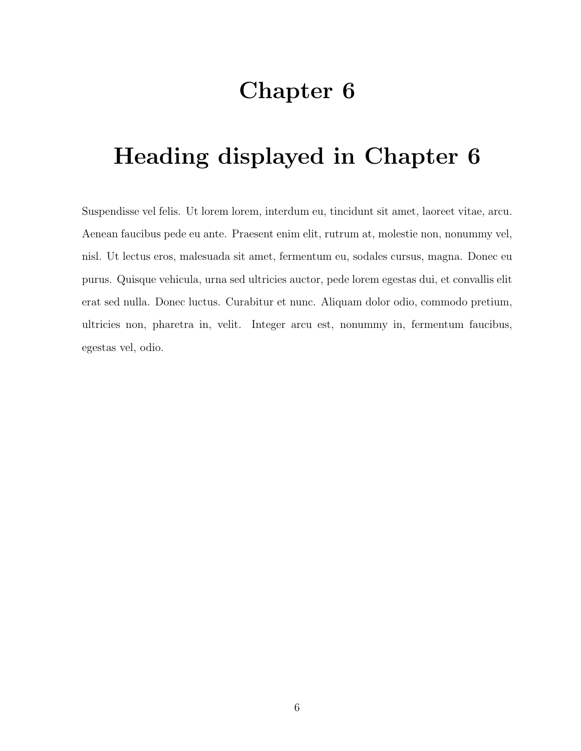# <span id="page-11-0"></span>Heading displayed in Chapter 6

Suspendisse vel felis. Ut lorem lorem, interdum eu, tincidunt sit amet, laoreet vitae, arcu. Aenean faucibus pede eu ante. Praesent enim elit, rutrum at, molestie non, nonummy vel, nisl. Ut lectus eros, malesuada sit amet, fermentum eu, sodales cursus, magna. Donec eu purus. Quisque vehicula, urna sed ultricies auctor, pede lorem egestas dui, et convallis elit erat sed nulla. Donec luctus. Curabitur et nunc. Aliquam dolor odio, commodo pretium, ultricies non, pharetra in, velit. Integer arcu est, nonummy in, fermentum faucibus, egestas vel, odio.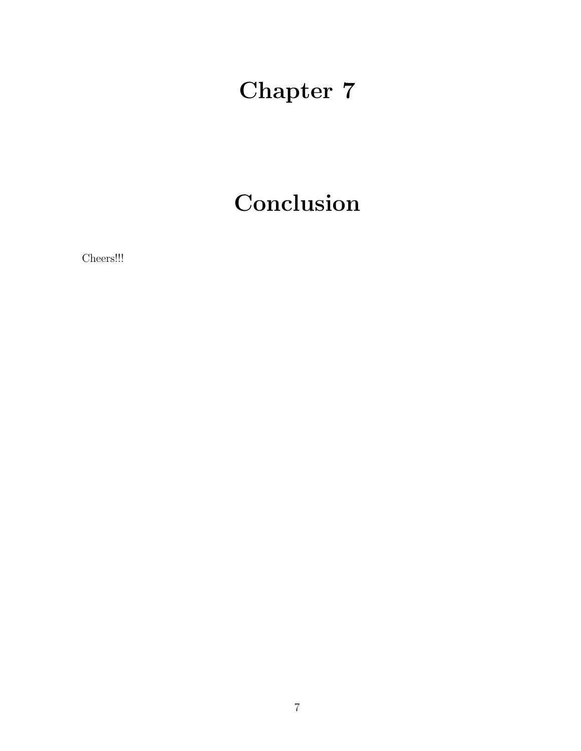# Conclusion

<span id="page-12-0"></span>Cheers!!!